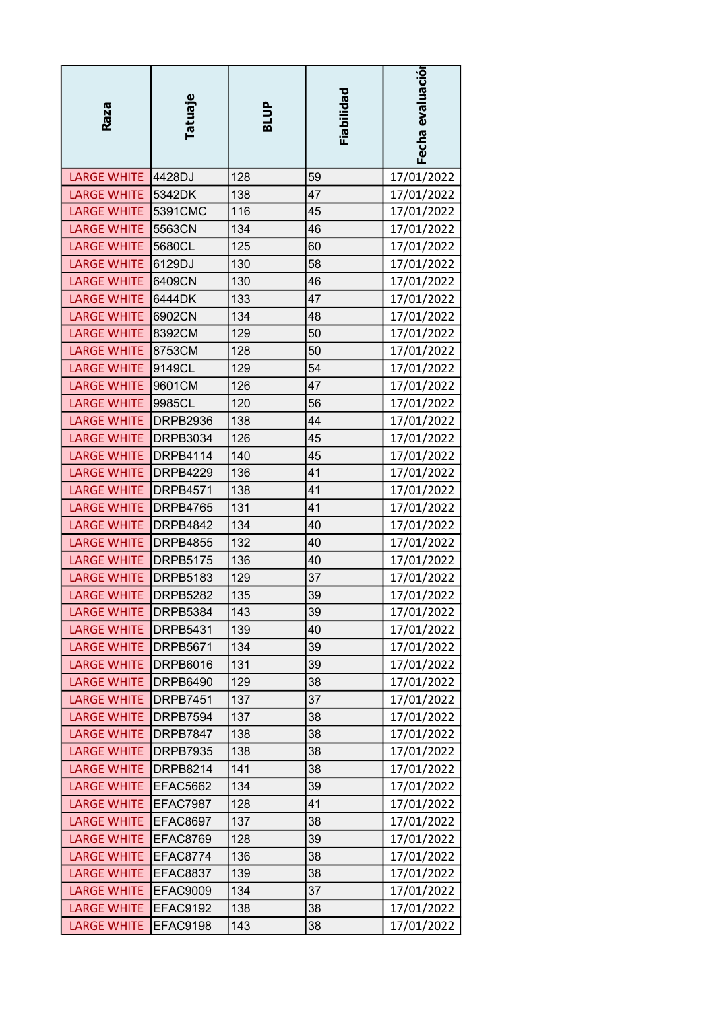| Raza                   | Tatuaje         | BLUP | Fiabilidad | Fecha evaluación |
|------------------------|-----------------|------|------------|------------------|
| LARGE WHITE 4428DJ     |                 | 128  | 59         | 17/01/2022       |
| <b>LARGE WHITE</b>     | 5342DK          | 138  | 47         | 17/01/2022       |
| <b>LARGE WHITE</b>     | 5391CMC         | 116  | 45         | 17/01/2022       |
| LARGE WHITE 5563CN     |                 | 134  | 46         | 17/01/2022       |
| <b>LARGE WHITE</b>     | 5680CL          | 125  | 60         | 17/01/2022       |
| <b>LARGE WHITE</b>     | 6129DJ          | 130  | 58         | 17/01/2022       |
| <b>LARGE WHITE</b>     | 6409CN          | 130  | 46         | 17/01/2022       |
| <b>LARGE WHITE</b>     | 6444DK          | 133  | 47         | 17/01/2022       |
| <b>LARGE WHITE</b>     | 6902CN          | 134  | 48         | 17/01/2022       |
| <b>LARGE WHITE</b>     | 8392CM          | 129  | 50         | 17/01/2022       |
| <b>LARGE WHITE</b>     | 8753CM          | 128  | 50         | 17/01/2022       |
| <b>LARGE WHITE</b>     | 9149CL          | 129  | 54         | 17/01/2022       |
| <b>LARGE WHITE</b>     | 9601CM          | 126  | 47         | 17/01/2022       |
| <b>LARGE WHITE</b>     | 9985CL          | 120  | 56         | 17/01/2022       |
| <b>LARGE WHITE</b>     | DRPB2936        | 138  | 44         | 17/01/2022       |
| <b>LARGE WHITE</b>     | <b>DRPB3034</b> | 126  | 45         | 17/01/2022       |
| <b>LARGE WHITE</b>     | <b>DRPB4114</b> | 140  | 45         | 17/01/2022       |
| <b>LARGE WHITE</b>     | <b>DRPB4229</b> | 136  | 41         | 17/01/2022       |
| <b>LARGE WHITE</b>     | DRPB4571        | 138  | 41         | 17/01/2022       |
| <b>LARGE WHITE</b>     | DRPB4765        | 131  | 41         | 17/01/2022       |
| <b>LARGE WHITE</b>     | DRPB4842        | 134  | 40         | 17/01/2022       |
| <b>LARGE WHITE</b>     | DRPB4855        | 132  | 40         | 17/01/2022       |
| LARGE WHITE   DRPB5175 |                 | 136  | 40         | 17/01/2022       |
| <b>LARGE WHITE</b>     | <b>DRPB5183</b> | 129  | 37         | 17/01/2022       |
| <b>LARGE WHITE</b>     | <b>DRPB5282</b> | 135  | 39         | 17/01/2022       |
| LARGE WHITE   DRPB5384 |                 | 143  | 39         | 17/01/2022       |
| LARGE WHITE DRPB5431   |                 | 139  | 40         | 17/01/2022       |
| LARGE WHITE   DRPB5671 |                 | 134  | 39         | 17/01/2022       |
| LARGE WHITE   DRPB6016 |                 | 131  | 39         | 17/01/2022       |
| LARGE WHITE   DRPB6490 |                 | 129  | 38         | 17/01/2022       |
| LARGE WHITE   DRPB7451 |                 | 137  | 37         | 17/01/2022       |
| <b>LARGE WHITE</b>     | DRPB7594        | 137  | 38         | 17/01/2022       |
| <b>LARGE WHITE</b>     | DRPB7847        | 138  | 38         | 17/01/2022       |
| LARGE WHITE   DRPB7935 |                 | 138  | 38         | 17/01/2022       |
| LARGE WHITE   DRPB8214 |                 | 141  | 38         | 17/01/2022       |
| LARGE WHITE EFAC5662   |                 | 134  | 39         | 17/01/2022       |
| <b>LARGE WHITE</b>     | EFAC7987        | 128  | 41         | 17/01/2022       |
| <b>LARGE WHITE</b>     | EFAC8697        | 137  | 38         | 17/01/2022       |
| LARGE WHITE EFAC8769   |                 | 128  | 39         | 17/01/2022       |
|                        |                 |      | 38         |                  |
| LARGE WHITE EFAC8774   |                 | 136  | 38         | 17/01/2022       |
| LARGE WHITE EFAC8837   |                 | 139  |            | 17/01/2022       |
| LARGE WHITE EFAC9009   |                 | 134  | 37         | 17/01/2022       |
| LARGE WHITE EFAC9192   |                 | 138  | 38         | 17/01/2022       |
| <b>LARGE WHITE</b>     | EFAC9198        | 143  | 38         | 17/01/2022       |